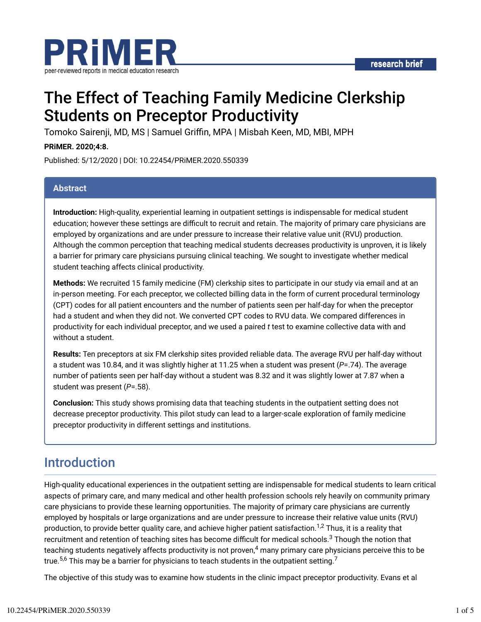

# The Effect of Teaching Family Medicine Clerkship Students on Preceptor Productivity

Tomoko Sairenji, MD, MS | Samuel Griffin, MPA | Misbah Keen, MD, MBI, MPH

#### **PRiMER. 2020;4:8.**

Published: 5/12/2020 | DOI: 10.22454/PRiMER.2020.550339

#### **Abstract**

**Introduction:** High-quality, experiential learning in outpatient settings is indispensable for medical student education; however these settings are difficult to recruit and retain. The majority of primary care physicians are employed by organizations and are under pressure to increase their relative value unit (RVU) production. Although the common perception that teaching medical students decreases productivity is unproven, it is likely a barrier for primary care physicians pursuing clinical teaching. We sought to investigate whether medical student teaching affects clinical productivity.

**Methods:** We recruited 15 family medicine (FM) clerkship sites to participate in our study via email and at an in-person meeting. For each preceptor, we collected billing data in the form of current procedural terminology (CPT) codes for all patient encounters and the number of patients seen per half-day for when the preceptor had a student and when they did not. We converted CPT codes to RVU data. We compared differences in productivity for each individual preceptor, and we used a paired *t* test to examine collective data with and without a student.

**Results:** Ten preceptors at six FM clerkship sites provided reliable data. The average RVU per half-day without a student was 10.84, and it was slightly higher at 11.25 when a student was present (*P*=.74). The average number of patients seen per half-day without a student was 8.32 and it was slightly lower at 7.87 when a student was present (*P*=.58).

**Conclusion:** This study shows promising data that teaching students in the outpatient setting does not decrease preceptor productivity. This pilot study can lead to a larger-scale exploration of family medicine preceptor productivity in different settings and institutions.

## Introduction

High-quality educational experiences in the outpatient setting are indispensable for medical students to learn critical aspects of primary care, and many medical and other health profession schools rely heavily on community primary care physicians to provide these learning opportunities. The majority of primary care physicians are currently employed by hospitals or large organizations and are under pressure to increase their relative value units (RVU) production, to provide better quality care, and achieve higher patient satisfaction.<sup>1,2</sup> Thus, it is a reality that recruitment and retention of teaching sites has become difficult for medical schools. $^3$  Though the notion that teaching students negatively affects productivity is not proven, $^4$  many primary care physicians perceive this to be true. $^{5,6}$  This may be a barrier for physicians to teach students in the outpatient setting. $^7$ 

The objective of this study was to examine how students in the clinic impact preceptor productivity. Evans et al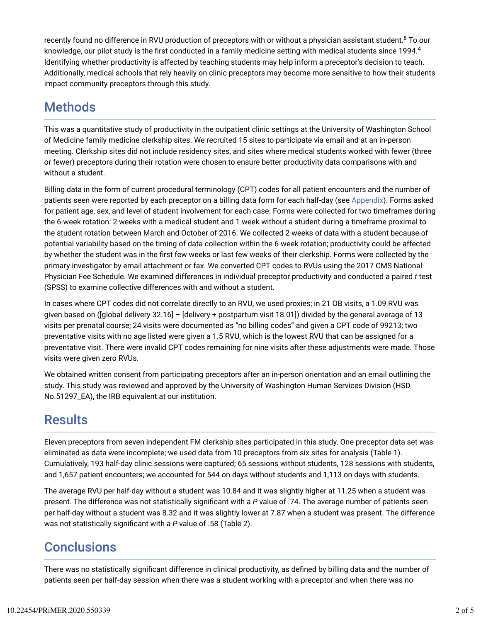recently found no difference in RVU production of preceptors with or without a physician assistant student. $^8$  To our knowledge, our pilot study is the first conducted in a family medicine setting with medical students since 1994. $^4\,$ Identifying whether productivity is affected by teaching students may help inform a preceptor's decision to teach. Additionally, medical schools that rely heavily on clinic preceptors may become more sensitive to how their students impact community preceptors through this study.

## **Methods**

This was a quantitative study of productivity in the outpatient clinic settings at the University of Washington School of Medicine family medicine clerkship sites. We recruited 15 sites to participate via email and at an in-person meeting. Clerkship sites did not include residency sites, and sites where medical students worked with fewer (three or fewer) preceptors during their rotation were chosen to ensure better productivity data comparisons with and without a student.

Billing data in the form of current procedural terminology (CPT) codes for all patient encounters and the number of patients seen were reported by each preceptor on a billing data form for each half-day (see Appendix). Forms asked for patient age, sex, and level of student involvement for each case. Forms were collected for two timeframes during the 6-week rotation: 2 weeks with a medical student and 1 week without a student during a timeframe proximal to the student rotation between March and October of 2016. We collected 2 weeks of data with a student because of potential variability based on the timing of data collection within the 6-week rotation; productivity could be affected by whether the student was in the first few weeks or last few weeks of their clerkship. Forms were collected by the primary investigator by email attachment or fax. We converted CPT codes to RVUs using the 2017 CMS National Physician Fee Schedule. We examined differences in individual preceptor productivity and conducted a paired *t* test (SPSS) to examine collective differences with and without a student.

In cases where CPT codes did not correlate directly to an RVU, we used proxies; in 21 OB visits, a 1.09 RVU was given based on ([global delivery 32.16] – [delivery + postpartum visit 18.01]) divided by the general average of 13 visits per prenatal course; 24 visits were documented as "no billing codes" and given a CPT code of 99213; two preventative visits with no age listed were given a 1.5 RVU, which is the lowest RVU that can be assigned for a preventative visit. There were invalid CPT codes remaining for nine visits after these adjustments were made. Those visits were given zero RVUs.

We obtained written consent from participating preceptors after an in-person orientation and an email outlining the study. This study was reviewed and approved by the University of Washington Human Services Division (HSD No.51297\_EA), the IRB equivalent at our institution.

## **Results**

Eleven preceptors from seven independent FM clerkship sites participated in this study. One preceptor data set was eliminated as data were incomplete; we used data from 10 preceptors from six sites for analysis (Table 1). Cumulatively, 193 half-day clinic sessions were captured; 65 sessions without students, 128 sessions with students, and 1,657 patient encounters; we accounted for 544 on days without students and 1,113 on days with students.

The average RVU per half-day without a student was 10.84 and it was slightly higher at 11.25 when a student was present. The difference was not statistically significant with a P value of .74. The average number of patients seen per half-day without a student was 8.32 and it was slightly lower at 7.87 when a student was present. The difference was not statistically significant with a P value of .58 (Table 2).

## **Conclusions**

There was no statistically significant difference in clinical productivity, as defined by billing data and the number of patients seen per half-day session when there was a student working with a preceptor and when there was no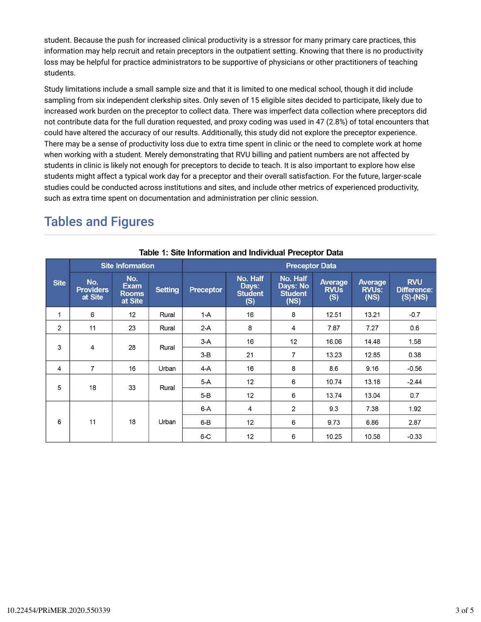student. Because the push for increased clinical productivity is a stressor for many primary care practices, this information may help recruit and retain preceptors in the outpatient setting. Knowing that there is no productivity loss may be helpful for practice administrators to be supportive of physicians or other practitioners of teaching students.

Study limitations include a small sample size and that it is limited to one medical school, though it did include sampling from six independent clerkship sites. Only seven of 15 eligible sites decided to participate, likely due to increased work burden on the preceptor to collect data. There was imperfect data collection where preceptors did not contribute data for the full duration requested, and proxy coding was used in 47 (2.8%) of total encounters that could have altered the accuracy of our results. Additionally, this study did not explore the preceptor experience. There may be a sense of productivity loss due to extra time spent in clinic or the need to complete work at home when working with a student. Merely demonstrating that RVU billing and patient numbers are not affected by students in clinic is likely not enough for preceptors to decide to teach. It is also important to explore how else students might affect a typical work day for a preceptor and their overall satisfaction. For the future, larger-scale studies could be conducted across institutions and sites, and include other metrics of experienced productivity, such as extra time spent on documentation and administration per clinic session.

## Tables and Figures

| <b>Site</b>    | <b>Site Information</b>            |                                               |                | <b>Preceptor Data</b> |                                            |                                                |                                      |                                        |                                             |  |  |
|----------------|------------------------------------|-----------------------------------------------|----------------|-----------------------|--------------------------------------------|------------------------------------------------|--------------------------------------|----------------------------------------|---------------------------------------------|--|--|
|                | No.<br><b>Providers</b><br>at Site | No.<br><b>Exam</b><br><b>Rooms</b><br>at Site | <b>Setting</b> | <b>Preceptor</b>      | No. Half<br>Days:<br><b>Student</b><br>(S) | No. Half<br>Days: No<br><b>Student</b><br>(NS) | <b>Average</b><br><b>RVUs</b><br>(S) | <b>Average</b><br><b>RVUs:</b><br>(NS) | <b>RVU</b><br>Difference:<br>$(S)$ - $(NS)$ |  |  |
| 1              | 6                                  | 12                                            | Rural          | $1-A$                 | 16                                         | 8                                              | 12.51                                | 13.21                                  | $-0.7$                                      |  |  |
| $\overline{2}$ | 11                                 | 23                                            | Rural          | $2-A$                 | 8                                          | $\overline{4}$                                 | 7.87                                 | 7.27                                   | 0.6                                         |  |  |
| 3              | $\overline{4}$                     | 28                                            | Rural          | $3-A$                 | 16                                         | 12                                             | 16.06                                | 14.48                                  | 1.58                                        |  |  |
|                |                                    |                                               |                | $3-B$                 | 21                                         | $\overline{7}$                                 | 13.23                                | 12.85                                  | 0.38                                        |  |  |
| 4              | $\overline{7}$                     | 16                                            | Urban          | 4-A                   | 16                                         | 8                                              | 8.6                                  | 9.16                                   | $-0.56$                                     |  |  |
| 5              | 18                                 | 33                                            | Rural          | $5-A$                 | 12                                         | 6                                              | 10.74                                | 13.18                                  | $-2.44$                                     |  |  |
|                |                                    |                                               |                | $5-B$                 | 12                                         | 6                                              | 13.74                                | 13.04                                  | 0.7                                         |  |  |
| 6              | 11                                 | 18                                            | Urban          | $6-A$                 | 4                                          | 2                                              | 9.3                                  | 7.38                                   | 1.92                                        |  |  |
|                |                                    |                                               |                | $6-B$                 | 12                                         | 6                                              | 9.73                                 | 6.86                                   | 2.87                                        |  |  |
|                |                                    |                                               |                | 6 C                   | 12                                         | 6                                              | 10.25                                | 10.58                                  | $-0.33$                                     |  |  |

#### Table 1: Site Information and Individual Preceptor Data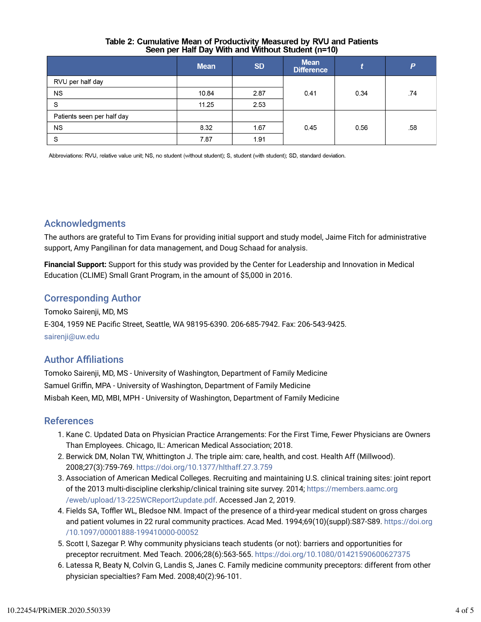#### Table 2: Cumulative Mean of Productivity Measured by RVU and Patients Seen per Half Day With and Without Student (n=10)

|                            | <b>Mean</b> | <b>SD</b> | <b>Mean</b><br><b>Difference</b> |      | P   |
|----------------------------|-------------|-----------|----------------------------------|------|-----|
| RVU per half day           |             |           |                                  |      |     |
| <b>NS</b>                  | 10.84       | 2.87      | 0.41                             | 0.34 | .74 |
| S                          | 11.25       | 2.53      |                                  |      |     |
| Patients seen per half day |             |           |                                  |      |     |
| <b>NS</b>                  | 8.32        | 1.67      | 0.45                             | 0.56 | .58 |
| S                          | 7.87        | 1.91      |                                  |      |     |

Abbreviations: RVU, relative value unit; NS, no student (without student); S, student (with student); SD, standard deviation.

### Acknowledgments

The authors are grateful to Tim Evans for providing initial support and study model, Jaime Fitch for administrative support, Amy Pangilinan for data management, and Doug Schaad for analysis.

**Financial Support:** Support for this study was provided by the Center for Leadership and Innovation in Medical Education (CLIME) Small Grant Program, in the amount of \$5,000 in 2016.

### Corresponding Author

Tomoko Sairenji, MD, MS E-304, 1959 NE Pacific Street, Seattle, WA 98195-6390. 206-685-7942. Fax: 206-543-9425. sairenji@uw.edu

### **Author Affiliations**

Tomoko Sairenji, MD, MS - University of Washington, Department of Family Medicine Samuel Griffin, MPA - University of Washington, Department of Family Medicine Misbah Keen, MD, MBI, MPH - University of Washington, Department of Family Medicine

#### References

- 1. Kane C. Updated Data on Physician Practice Arrangements: For the First Time, Fewer Physicians are Owners Than Employees. Chicago, IL: American Medical Association; 2018.
- 2. Berwick DM, Nolan TW, Whittington J. The triple aim: care, health, and cost. Health Aff (Millwood). 2008;27(3):759-769. https://doi.org/10.1377/hlthaff.27.3.759
- 3. Association of American Medical Colleges. Recruiting and maintaining U.S. clinical training sites: joint report of the 2013 multi-discipline clerkship/clinical training site survey. 2014; https://members.aamc.org /eweb/upload/13-225WCReport2update.pdf. Accessed Jan 2, 2019.
- 4. Fields SA, Toffler WL, Bledsoe NM. Impact of the presence of a third-year medical student on gross charges and patient volumes in 22 rural community practices. Acad Med. 1994;69(10)(suppl):S87-S89. https://doi.org /10.1097/00001888-199410000-00052
- 5. Scott I, Sazegar P. Why community physicians teach students (or not): barriers and opportunities for preceptor recruitment. Med Teach. 2006;28(6):563-565. https://doi.org/10.1080/01421590600627375
- 6. Latessa R, Beaty N, Colvin G, Landis S, Janes C. Family medicine community preceptors: different from other physician specialties? Fam Med. 2008;40(2):96-101.